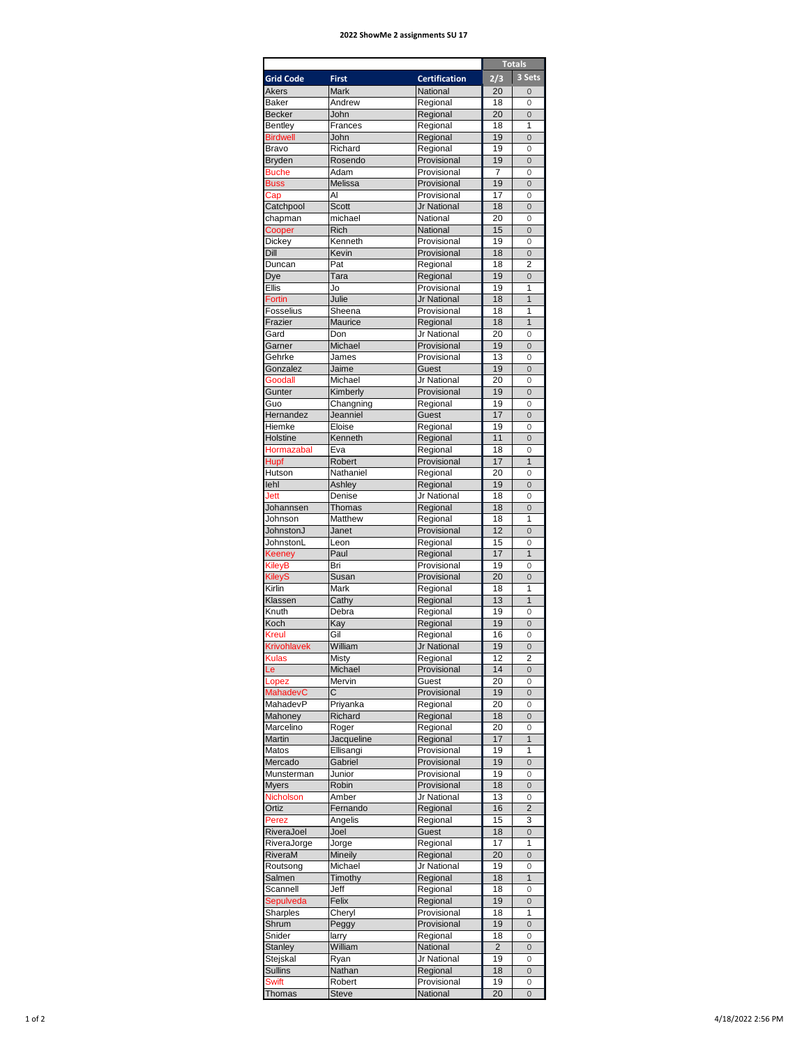## **2022 ShowMe 2 assignments SU 17**

|                    |                       |                            |                | <b>Totals</b>       |
|--------------------|-----------------------|----------------------------|----------------|---------------------|
| <b>Grid Code</b>   | <b>First</b>          | <b>Certification</b>       | 2/3            | 3 Sets              |
| <b>Akers</b>       | <b>Mark</b>           | National                   | 20             | $\Omega$            |
| <b>Baker</b>       | Andrew                | Regional                   | 18             | 0                   |
| <b>Becker</b>      | John                  | Regional                   | 20             | 0                   |
| <b>Bentley</b>     | Frances               | Regional                   | 18             | 1                   |
| <b>Birdwell</b>    | John                  | Regional                   | 19             | $\mathbf{0}$        |
| <b>Bravo</b>       | Richard               | Regional                   | 19             | 0                   |
| <b>Bryden</b>      | Rosendo               | Provisional                | 19             | $\Omega$            |
| <b>Buche</b>       | Adam                  | Provisional                | $\overline{7}$ | $\Omega$            |
| <b>Buss</b>        | Melissa               | Provisional                | 19             | 0                   |
| Cap                | AI                    | Provisional                | 17             | 0                   |
| Catchpool          | <b>Scott</b>          | Jr National                | 18             | $\overline{0}$      |
| chapman            | michael               | National                   | 20             | 0                   |
| Cooper             | Rich                  | National                   | 15             | $\Omega$            |
| Dickey             | Kenneth               | Provisional                | 19             | 0                   |
| Dill               | Kevin                 | Provisional                | 18             | 0                   |
| Duncan             | Pat                   | Regional                   | 18             | $\overline{2}$      |
| Dye                | Tara                  | Regional                   | 19             | $\overline{0}$      |
| Ellis              | Jo                    | Provisional                | 19             | 1                   |
| <b>Fortin</b>      | Julie                 | Jr National                | 18             | $\overline{1}$      |
| Fosselius          | Sheena                | Provisional                | 18             | 1                   |
| Frazier            | Maurice               | Regional                   | 18             | 1                   |
| Gard               | Don                   | Jr National                | 20             | 0                   |
| Garner             | Michael               | Provisional                | 19             | 0                   |
| Gehrke             | James                 | Provisional                | 13             | 0                   |
| Gonzalez           | Jaime                 | Guest                      | 19             | $\overline{0}$      |
| Goodall            | Michael               | Jr National                | 20             | $\Omega$            |
| Gunter             | Kimberly              | Provisional                | 19             | $\Omega$            |
| Guo                |                       | Regional                   | 19             | 0                   |
| Hernandez          | Changning<br>Jeanniel | Guest                      | 17             | $\overline{0}$      |
| Hiemke             | Eloise                | Regional                   | 19             | 0                   |
| Holstine           |                       |                            |                |                     |
|                    | Kenneth               | Regional                   | 11             | 0                   |
| Hormazabal         | Eva                   | Regional                   | 18             | 0                   |
| Hupf               | Robert                | Provisional                | 17             | $\mathbf{1}$        |
| Hutson             | Nathaniel             | Regional                   | 20             | 0                   |
| lehl               | Ashley                | Regional                   | 19             | 0                   |
| Jett               | Denise                | Jr National                | 18             | 0                   |
| Johannsen          | <b>Thomas</b>         | Regional                   | 18             | $\overline{O}$      |
| Johnson            | Matthew               | Regional                   | 18             | 1                   |
| JohnstonJ          | Janet                 | Provisional                | 12             | $\Omega$            |
| JohnstonL          | Leon                  | Regional                   | 15             | 0                   |
| Keeney             | Paul                  | Regional                   | 17             | $\overline{1}$      |
| KileyB             | Bri                   | Provisional                | 19             | 0                   |
| <b>KileyS</b>      | Susan                 | Provisional                | 20             | $\mathsf{O}\xspace$ |
| Kirlin             | Mark                  | Regional                   | 18             | 1                   |
| Klassen            | Cathy                 | Regional                   | 13             | $\mathbf{1}$        |
| Knuth              | Debra                 | Regional                   | 19             | 0                   |
| Koch               | Kay                   | Regional                   | 19             | 0                   |
| Kreul              | Gil                   | Regional                   | 16             | 0                   |
| <b>Krivohlavek</b> | William               | Jr National                | 19             | $\overline{0}$      |
| Kulas              | Misty                 | Regional                   | 12             | 2                   |
| Le                 | Michael               | Provisional                | 14             | $\overline{O}$      |
| Lopez              | Mervin                | Guest                      | 20             | 0                   |
| MahadevC           | C.                    | Provisional                | 19             | 0                   |
| MahadevP           | Priyanka              | Regional                   | 20             | 0                   |
| Mahoney            | Richard               | Regional                   | 18             | 0                   |
| Marcelino          | Roger                 | Regional                   | 20             | 0                   |
| Martin             | Jacqueline            | Regional                   | 17             | $\mathbf{1}$        |
| Matos              | Ellisangi             | Provisional                | 19             | 1                   |
|                    | Gabriel               | Provisional                | 19             | 0                   |
| Mercado            |                       |                            |                |                     |
| Munsterman         | Junior                | Provisional<br>Provisional | 19<br>18       | 0                   |
| Myers              | Robin                 | Jr National                |                | 0                   |
| Nicholson          | Amber                 |                            | 13             | 0                   |
| Ortiz              | Fernando              | Regional                   | 16             | $\overline{2}$      |
| Perez              | Angelis               | Regional                   | 15             | 3                   |
| RiveraJoel         | Joel                  | Guest                      | 18             | $\overline{O}$      |
| RiveraJorge        | Jorge                 | Regional                   | 17             | 1                   |
| RiveraM            | Mineily               | Regional                   | 20             | 0                   |
| Routsong           | Michael               | Jr National                | 19             | 0                   |
| Salmen             | Timothy               | Regional                   | 18             | $\mathbf{1}$        |
| Scannell           | Jeff                  | Regional                   | 18             | 0                   |
| Sepulveda          | Felix                 | Regional                   | 19             | 0                   |
| Sharples           | Cheryl                | Provisional                | 18             | 1                   |
| Shrum              | Peggy                 | Provisional                | 19             | 0                   |
| Snider             | larry                 | Regional                   | 18             | 0                   |
| <b>Stanley</b>     | William               | National                   | $\overline{2}$ | 0                   |
| Stejskal           | Ryan                  | Jr National                | 19             | 0                   |
| <b>Sullins</b>     | Nathan                | Regional                   | 18             | $\mathbf{0}$        |
| <b>Swift</b>       | Robert                | Provisional                | 19             | 0                   |
| Thomas             | <b>Steve</b>          | National                   | 20             | 0                   |
|                    |                       |                            |                |                     |